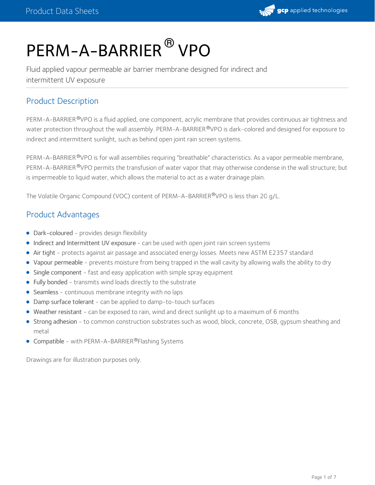

# PERM-A-BARRIER<sup>®</sup> VPO

Fluid applied vapour permeable air barrier membrane designed for indirect and intermittent UV exposure

## Product Description

PERM-A-BARRIER®VPO is a fluid applied, one component, acrylic membrane that provides continuous air tightness and water protection throughout the wall assembly. PERM-A-BARRIER®VPO is dark-colored and designed for exposure to indirect and intermittent sunlight, such as behind open joint rain screen systems.

PERM-A-BARRIER <sup>®</sup>VPO is for wall assemblies requiring "breathable" characteristics. As a vapor permeable membrane, PERM-A-BARRIER®VPO permits the transfusion of water vapor that may otherwise condense in the wall structure; but is impermeable to liquid water, which allows the material to act as a water drainage plain.

The Volatile Organic Compound (VOC) content of PERM-A-BARRIER®VPO is less than 20 g/L.

## Product Advantages

- Dark-coloured provides design flexibility
- Indirect and Intermittent UV exposure can be used with open joint rain screen systems
- Air tight protects against air passage and associated energy losses. Meets new ASTM E2357 standard
- Vapour permeable prevents moisture from being trapped in the wall cavity by allowing walls the ability to dry
- Single component fast and easy application with simple spray equipment
- Fully bonded transmits wind loads directly to the substrate
- Seamless continuous membrane integrity with no laps
- Damp surface tolerant can be applied to damp-to-touch surfaces
- Weather resistant can be exposed to rain, wind and direct sunlight up to a maximum of 6 months
- Strong adhesion to common construction substrates such as wood, block, concrete, OSB, gypsum sheathing and metal
- Compatible with PERM-A-BARRIER®Flashing Systems

Drawings are for illustration purposes only.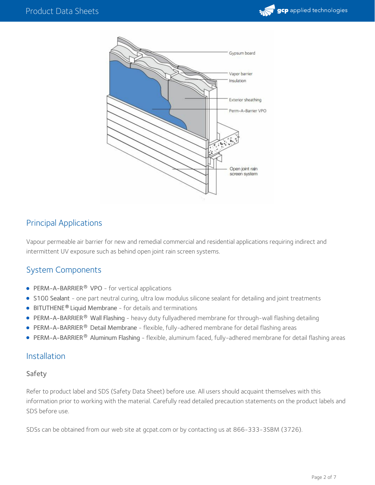



## Principal Applications

Vapour permeable air barrier for new and remedial commercial and residential applications requiring indirect and intermittent UV exposure such as behind open joint rain screen systems.

## System Components

- PERM-A-BARRIER<sup>®</sup> VPO for vertical applications
- S100 Sealant one part neutral curing, ultra low modulus silicone sealant for detailing and joint treatments
- **BITUTHENE<sup>®</sup> Liquid Membrane** for details and terminations
- PERM-A-BARRIER® Wall Flashing heavy duty fullyadhered membrane for through-wall flashing detailing  $\bullet$
- **PERM-A-BARRIER<sup>®</sup> Detail Membrane** flexible, fully-adhered membrane for detail flashing areas
- PERM-A-BARRIER® Aluminum Flashing flexible, aluminum faced, fully-adhered membrane for detail flashing areas

#### Installation

#### Safety

Refer to product label and SDS (Safety Data Sheet) before use. All users should acquaint themselves with this information prior to working with the material. Carefully read detailed precaution statements on the product labels and SDS before use.

SDSs can be obtained from our web site at gcpat.com or by contacting us at 866-333-3SBM (3726).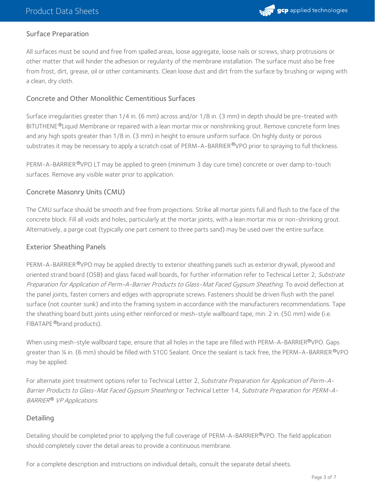

## Surface Preparation

All surfaces must be sound and free from spalled areas, loose aggregate, loose nails or screws, sharp protrusions or other matter that will hinder the adhesion or regularity of the membrane installation. The surface must also be free from frost, dirt, grease, oil or other contaminants. Clean loose dust and dirt from the surface by brushing or wiping with a clean, dry cloth.

#### Concrete and Other Monolithic Cementitious Surfaces

Surface irregularities greater than 1/4 in. (6 mm) across and/or 1/8 in. (3 mm) in depth should be pre-treated with BITUTHENE®Liquid Membrane or repaired with a lean mortar mix or nonshrinking grout. Remove concrete form lines and any high spots greater than 1/8 in. (3 mm) in height to ensure uniform surface. On highly dusty or porous substrates it may be necessary to apply a scratch coat of PERM-A-BARRIER®VPO prior to spraying to full thickness.

PERM-A-BARRIER®VPO LT may be applied to green (minimum 3 day cure time) concrete or over damp to-touch surfaces. Remove any visible water prior to application.

#### Concrete Masonry Units (CMU)

The CMU surface should be smooth and free from projections. Strike all mortar joints full and flush to the face of the concrete block. Fill all voids and holes, particularly at the mortar joints, with a lean mortar mix or non-shrinking grout. Alternatively, a parge coat (typically one part cement to three parts sand) may be used over the entire surface.

#### Exterior Sheathing Panels

PERM-A-BARRIER®VPO may be applied directly to exterior sheathing panels such as exterior drywall, plywood and oriented strand board (OSB) and glass faced wall boards, for further information refer to Technical Letter 2, Substrate Preparation for Application of Perm-A-Barrier Products to Glass-Mat Faced Gypsum Sheathing. To avoid deflection at the panel joints, fasten corners and edges with appropriate screws. Fasteners should be driven flush with the panel surface (not counter sunk) and into the framing system in accordance with the manufacturers recommendations. Tape the sheathing board butt joints using either reinforced or mesh-style wallboard tape, min. 2 in. (50 mm) wide (i.e. FIBATAPE ®brand products).

When using mesh-style wallboard tape, ensure that all holes in the tape are filled with PERM-A-BARRIER®VPO. Gaps greater than ¼ in. (6 mm) should be filled with S100 Sealant. Once the sealant is tack free, the PERM-A-BARRIER®VPO may be applied.

For alternate joint treatment options refer to Technical Letter 2, Substrate Preparation for Application of Perm-A-Barrier Products to Glass-Mat Faced Gypsum Sheathing or Technical Letter 14, Substrate Preparation for PERM-A- BARRIER® VP Applications.

#### **Detailing**

Detailing should be completed prior to applying the full coverage of PERM-A-BARRIER®VPO. The field application should completely cover the detail areas to provide a continuous membrane.

For a complete description and instructions on individual details, consult the separate detail sheets.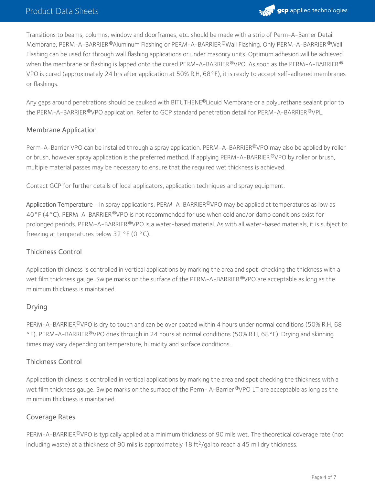

Transitions to beams, columns, window and doorframes, etc. should be made with a strip of Perm-A-Barrier Detail Membrane, PERM-A-BARRIER ®Aluminum Flashing or PERM-A-BARRIER ®Wall Flashing. Only PERM-A-BARRIER ®Wall Flashing can be used for through wall flashing applications or under masonry units. Optimum adhesion will be achieved when the membrane or flashing is lapped onto the cured PERM-A-BARRIER  $^\circ$ VPO. As soon as the PERM-A-BARRIER  $^\circ$ VPO is cured (approximately 24 hrs after application at 50% R.H, 68°F), it is ready to accept self-adhered membranes or flashings.

Any gaps around penetrations should be caulked with BITUTHENE®Liquid Membrane or a polyurethane sealant prior to the PERM-A-BARRIER ®VPO application. Refer to GCP standard penetration detail for PERM-A-BARRIER ®VPL.

#### Membrane Application

Perm-A-Barrier VPO can be installed through a spray application. PERM-A-BARRIER®VPO may also be applied by roller or brush, however spray application is the preferred method. If applying PERM-A-BARRIER ®VPO by roller or brush, multiple material passes may be necessary to ensure that the required wet thickness is achieved.

Contact GCP for further details of local applicators, application techniques and spray equipment.

Application Temperature - In spray applications, PERM-A-BARRIER®VPO may be applied at temperatures as low as 40°F (4°C). PERM-A-BARRIER®VPO is not recommended for use when cold and/or damp conditions exist for prolonged periods. PERM-A-BARRIER®VPO is a water-based material. As with all water-based materials, it is subject to freezing at temperatures below 32 °F (0 °C).

#### Thickness Control

Application thickness is controlled in vertical applications by marking the area and spot-checking the thickness with a wet film thickness gauge. Swipe marks on the surface of the PERM-A-BARRIER ®VPO are acceptable as long as the minimum thickness is maintained.

#### Drying

PERM-A-BARRIER®VPO is dry to touch and can be over coated within 4 hours under normal conditions (50% R.H, 68 °F). PERM-A-BARRIER®VPO dries through in 24 hours at normal conditions (50% R.H, 68°F). Drying and skinning times may vary depending on temperature, humidity and surface conditions.

#### Thickness Control

Application thickness is controlled in vertical applications by marking the area and spot checking the thickness with a wet film thickness gauge. Swipe marks on the surface of the Perm- A-Barrier®VPO LT are acceptable as long as the minimum thickness is maintained.

#### Coverage Rates

PERM-A-BARRIER®VPO is typically applied at a minimum thickness of 90 mils wet. The theoretical coverage rate (not including waste) at a thickness of 90 mils is approximately 18 ft<sup>2</sup>/gal to reach a 45 mil dry thickness.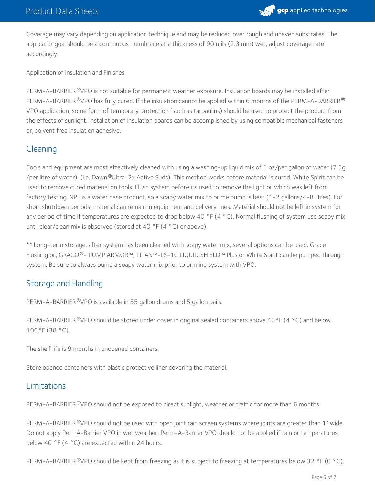

Coverage may vary depending on application technique and may be reduced over rough and uneven substrates. The applicator goal should be a continuous membrane at a thickness of 90 mils (2.3 mm) wet, adjust coverage rate accordingly.

Application of Insulation and Finishes

PERM-A-BARRIER®VPO is not suitable for permanent weather exposure. Insulation boards may be installed after <code>PERM-A-BARRIER®VPO</code> has fully cured. If the insulation cannot be applied within 6 months of the <code>PERM-A-BARRIER®</code> VPO application, some form of temporary protection (such as tarpaulins) should be used to protect the product from the effects of sunlight. Installation of insulation boards can be accomplished by using compatible mechanical fasteners or, solvent free insulation adhesive.

## **Cleaning**

Tools and equipment are most effectively cleaned with using a washing-up liquid mix of 1 oz/per gallon of water (7.5g /per litre of water). (i.e. Dawn®Ultra-2x Active Suds). This method works before material is cured. White Spirit can be used to remove cured material on tools. Flush system before its used to remove the light oil which was left from factory testing. NPL is a water base product, so a soapy water mix to prime pump is best (1-2 gallons/4-8 litres). For short shutdown periods, material can remain in equipment and delivery lines. Material should not be left in system for any period of time if temperatures are expected to drop below 40  $\degree$ F (4  $\degree$ C). Normal flushing of system use soapy mix until clear/clean mix is observed (stored at 40 °F (4 °C) or above).

\*\* Long-term storage, after system has been cleaned with soapy water mix, several options can be used. Grace Flushing oil, GRACO®- PUMP ARMOR™, TITAN™-LS-10 LIQUID SHIELD™ Plus or White Spirit can be pumped through system. Be sure to always pump a soapy water mix prior to priming system with VPO.

## Storage and Handling

PERM-A-BARRIER®VPO is available in 55 gallon drums and 5 gallon pails.

PERM-A-BARRIER®VPO should be stored under cover in original sealed containers above 40°F (4 °C) and below 100°F (38 °C).

The shelf life is 9 months in unopened containers.

Store opened containers with plastic protective liner covering the material.

## Limitations

PERM-A-BARRIER®VPO should not be exposed to direct sunlight, weather or traffic for more than 6 months.

PERM-A-BARRIER <sup>®</sup>VPO should not be used with open joint rain screen systems where joints are greater than 1" wide. Do not apply PermA-Barrier VPO in wet weather. Perm-A-Barrier VPO should not be applied if rain or temperatures below 40 °F (4 °C) are expected within 24 hours.

PERM-A-BARRIER®VPO should be kept from freezing as it is subject to freezing at temperatures below 32 °F (0 °C).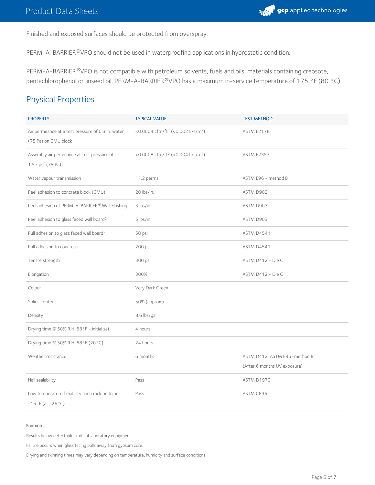

Finished and exposed surfaces should be protected from overspray.

PERM-A-BARRIER®VPO should not be used in waterproofing applications in hydrostatic condition.

PERM-A-BARRIER ®VPO is not compatible with petroleum solvents, fuels and oils, materials containing creosote, pentachlorophenol or linseed oil. PERM-A-BARRIER®VPO has a maximum in-service temperature of 175 °F (80 °C).

## Physical Properties

| <b>PROPERTY</b>                                                             | <b>TYPICAL VALUE</b>                                     | <b>TEST METHOD</b>           |
|-----------------------------------------------------------------------------|----------------------------------------------------------|------------------------------|
| Air permeance at a test pressure of 0.3 in. water<br>(75 Pa) on CMU block   | <0.0004 cfm/ft <sup>2</sup> (<0.002 L/s/m <sup>2</sup> ) | <b>ASTM E2178</b>            |
| Assembly air permeance at test pressure of<br>1.57 psf (75 Pa) <sup>1</sup> | <0.0008 cfm/ft <sup>2</sup> (<0.004 L/s/m <sup>2</sup> ) | <b>ASTM E2357</b>            |
| Water vapour transmission                                                   | 11.2 perms                                               | ASTM E96 - method B          |
| Peel adhesion to concrete block (CMU)                                       | 20 lbs/in.                                               | ASTM D903                    |
| Peel adhesion of PERM-A-BARRIER® Wall Flashing                              | 3 lbs/in.                                                | ASTM D903                    |
| Peel adhesion to glass faced wall board <sup>2</sup>                        | 5 lbs/in.                                                | ASTM D903                    |
| Pull adhesion to glass faced wall board <sup>2</sup>                        | 50 psi                                                   | ASTM D4541                   |
| Pull adhesion to concrete                                                   | 200 psi                                                  | ASTM D4541                   |
| Tensile strength                                                            | 300 psi                                                  | ASTM D412 - Die C            |
| Elongation                                                                  | 300%                                                     | ASTM D412 - Die C            |
| Colour                                                                      | Very Dark Green                                          |                              |
| Solids content                                                              | 50% (approx.)                                            |                              |
| Density                                                                     | 8.6 lbs/gal                                              |                              |
| Drying time @ 50% R.H. 68°F - initial set <sup>3</sup>                      | 4 hours                                                  |                              |
| Drying time @ 50% R.H. 68°F (20°C)                                          | 24 hours                                                 |                              |
| Weather resistance                                                          | 6 months                                                 | ASTM D412, ASTM E96-method B |
|                                                                             |                                                          | (After 6 months UV exposure) |
| Nail sealability                                                            | Pass                                                     | ASTM D1970                   |
| Low temperature flexibility and crack bridging<br>$-15°$ F (at $-26°$ C)    | Pass                                                     | ASTM C836                    |

#### Footnotes:

Results below detectable limits of laboratory equipment.

Failure occurs when glass facing pulls away from gypsum core.<br>Drying and skinning times may vary depending on temperature, humidity and surface conditions.